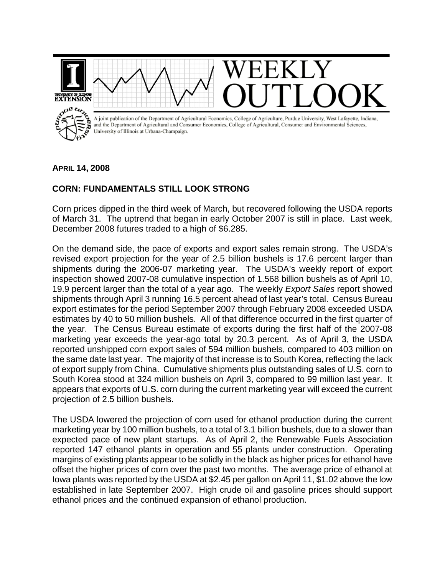

## **APRIL 14, 2008**

## **CORN: FUNDAMENTALS STILL LOOK STRONG**

Corn prices dipped in the third week of March, but recovered following the USDA reports of March 31. The uptrend that began in early October 2007 is still in place. Last week, December 2008 futures traded to a high of \$6.285.

On the demand side, the pace of exports and export sales remain strong. The USDA's revised export projection for the year of 2.5 billion bushels is 17.6 percent larger than shipments during the 2006-07 marketing year. The USDA's weekly report of export inspection showed 2007-08 cumulative inspection of 1.568 billion bushels as of April 10, 19.9 percent larger than the total of a year ago. The weekly *Export Sales* report showed shipments through April 3 running 16.5 percent ahead of last year's total. Census Bureau export estimates for the period September 2007 through February 2008 exceeded USDA estimates by 40 to 50 million bushels. All of that difference occurred in the first quarter of the year. The Census Bureau estimate of exports during the first half of the 2007-08 marketing year exceeds the year-ago total by 20.3 percent. As of April 3, the USDA reported unshipped corn export sales of 594 million bushels, compared to 403 million on the same date last year. The majority of that increase is to South Korea, reflecting the lack of export supply from China. Cumulative shipments plus outstanding sales of U.S. corn to South Korea stood at 324 million bushels on April 3, compared to 99 million last year. It appears that exports of U.S. corn during the current marketing year will exceed the current projection of 2.5 billion bushels.

The USDA lowered the projection of corn used for ethanol production during the current marketing year by 100 million bushels, to a total of 3.1 billion bushels, due to a slower than expected pace of new plant startups. As of April 2, the Renewable Fuels Association reported 147 ethanol plants in operation and 55 plants under construction. Operating margins of existing plants appear to be solidly in the black as higher prices for ethanol have offset the higher prices of corn over the past two months. The average price of ethanol at Iowa plants was reported by the USDA at \$2.45 per gallon on April 11, \$1.02 above the low established in late September 2007. High crude oil and gasoline prices should support ethanol prices and the continued expansion of ethanol production.